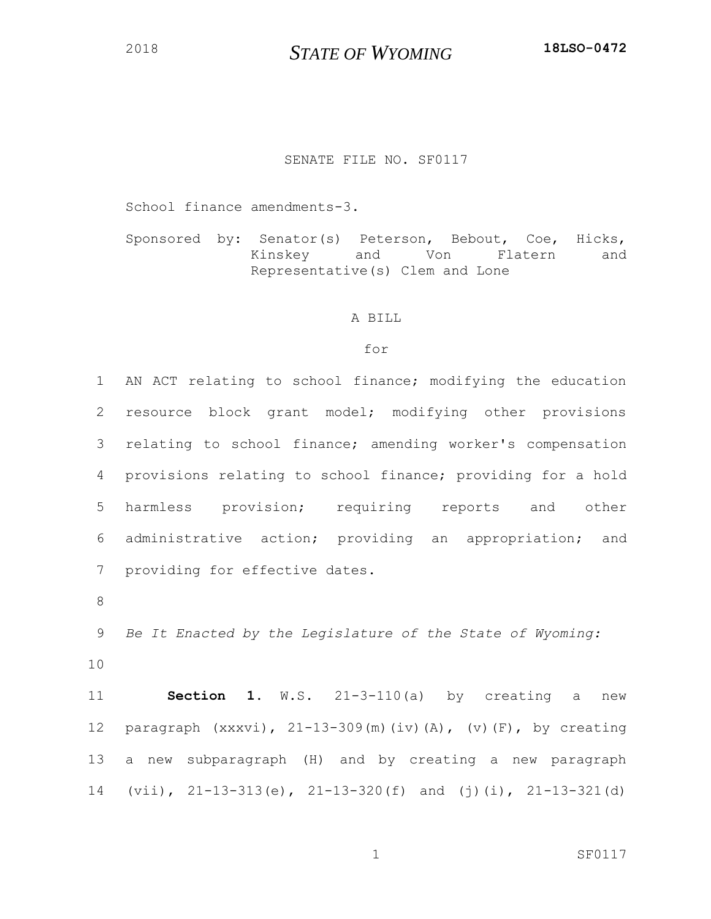## SENATE FILE NO. SF0117

School finance amendments-3.

Sponsored by: Senator(s) Peterson, Bebout, Coe, Hicks, Kinskey and Von Flatern and Representative(s) Clem and Lone

## A BILL

## for

 AN ACT relating to school finance; modifying the education resource block grant model; modifying other provisions relating to school finance; amending worker's compensation provisions relating to school finance; providing for a hold harmless provision; requiring reports and other administrative action; providing an appropriation; and providing for effective dates.

 *Be It Enacted by the Legislature of the State of Wyoming:* 

 **Section 1**. W.S. 21-3-110(a) by creating a new paragraph (xxxvi), 21-13-309(m)(iv)(A), (v)(F), by creating a new subparagraph (H) and by creating a new paragraph (vii), 21-13-313(e), 21-13-320(f) and (j)(i), 21-13-321(d)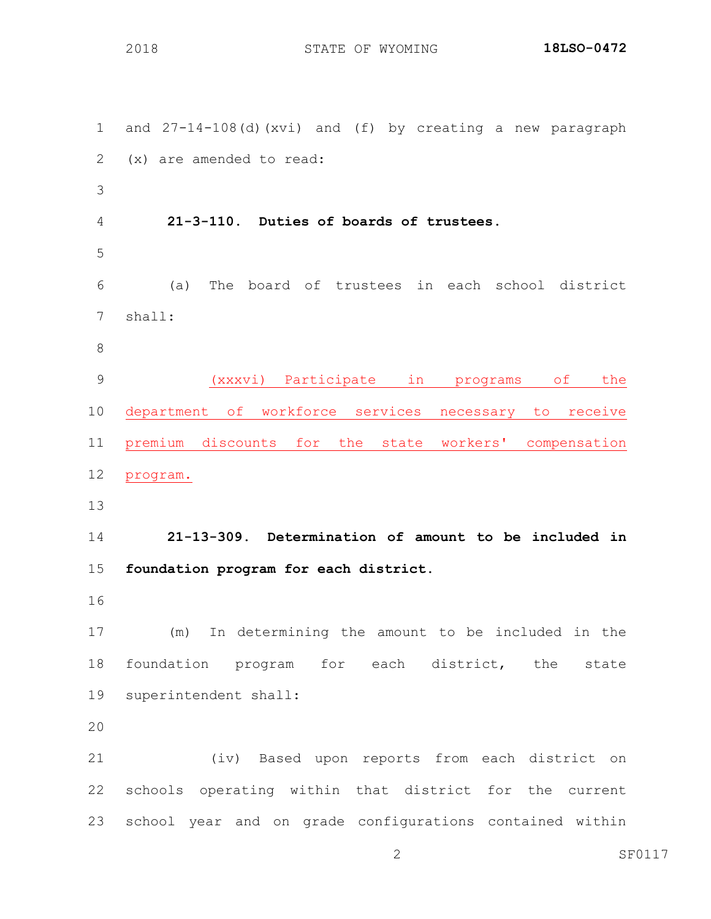and 27-14-108(d)(xvi) and (f) by creating a new paragraph (x) are amended to read: **21-3-110. Duties of boards of trustees.** (a) The board of trustees in each school district shall: (xxxvi) Participate in programs of the department of workforce services necessary to receive premium discounts for the state workers' compensation program. **21-13-309. Determination of amount to be included in foundation program for each district.** (m) In determining the amount to be included in the foundation program for each district, the state superintendent shall: (iv) Based upon reports from each district on schools operating within that district for the current school year and on grade configurations contained within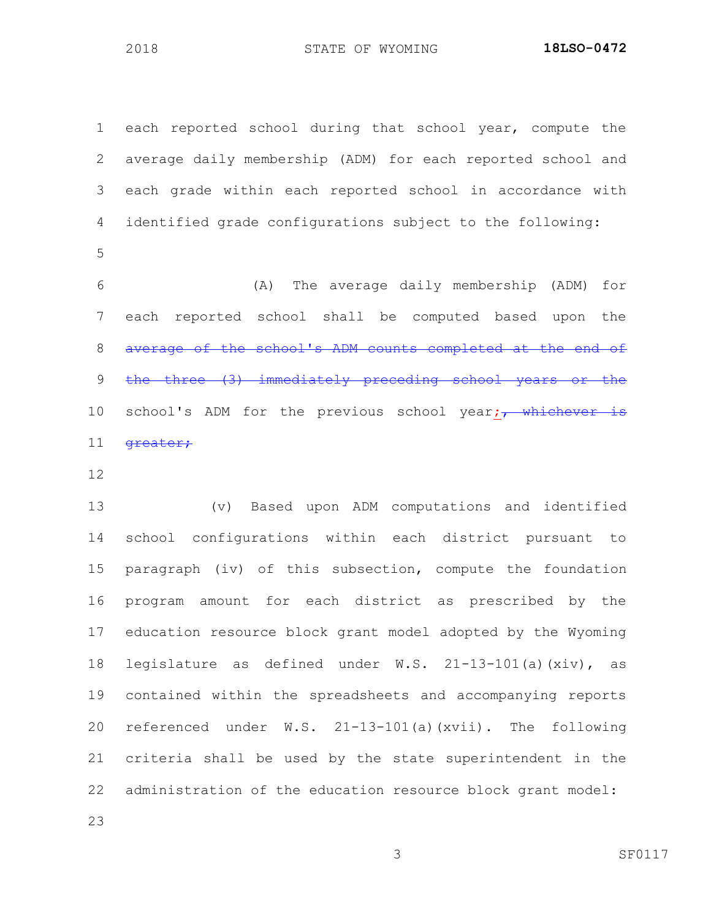each reported school during that school year, compute the average daily membership (ADM) for each reported school and each grade within each reported school in accordance with identified grade configurations subject to the following: (A) The average daily membership (ADM) for

 each reported school shall be computed based upon the average of the school's ADM counts completed at the end of the three (3) immediately preceding school years or the 10 school's ADM for the previous school year; whichever is 11 <del>greater;</del>

 (v) Based upon ADM computations and identified school configurations within each district pursuant to paragraph (iv) of this subsection, compute the foundation program amount for each district as prescribed by the education resource block grant model adopted by the Wyoming legislature as defined under W.S. 21-13-101(a)(xiv), as contained within the spreadsheets and accompanying reports referenced under W.S. 21-13-101(a)(xvii). The following criteria shall be used by the state superintendent in the administration of the education resource block grant model: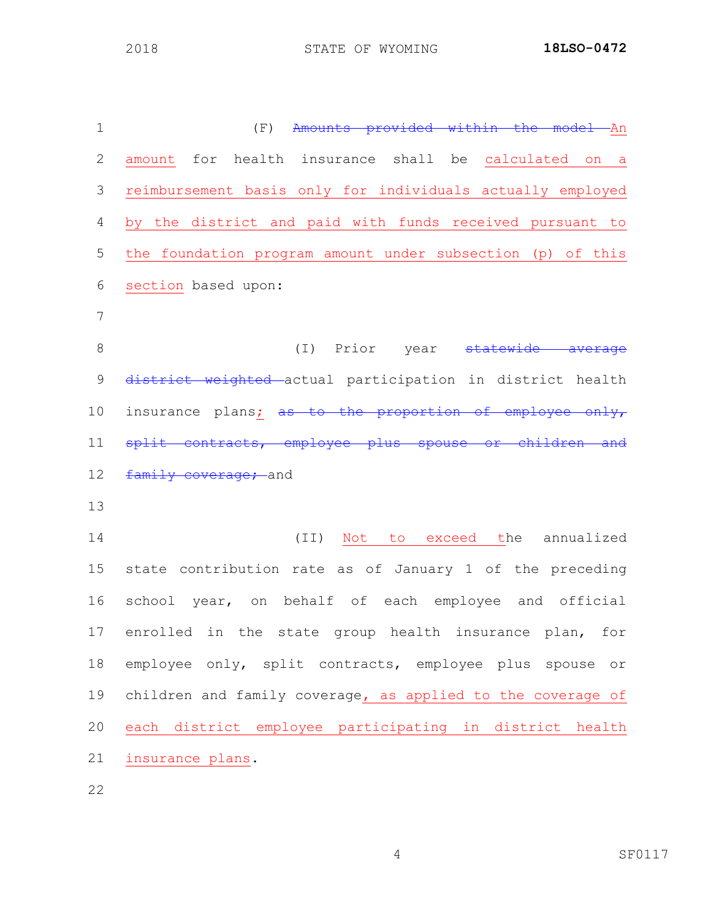| $\mathbf 1$  | Amounts provided within the model An<br>(F)                 |
|--------------|-------------------------------------------------------------|
| $\mathbf{2}$ | amount for health insurance shall be calculated on a        |
| 3            | reimbursement basis only for individuals actually employed  |
| 4            | by the district and paid with funds received pursuant to    |
| 5            | the foundation program amount under subsection (p) of this  |
| 6            | section based upon:                                         |
| 7            |                                                             |
| 8            | (I) Prior year statewide average                            |
| $\mathsf 9$  | district weighted actual participation in district health   |
| 10           | insurance plans; as to the proportion of employee only,     |
| 11           | split contracts, employee plus spouse or children and       |
| 12           | family coverage; and                                        |
| 13           |                                                             |
| 14           | (II) Not to exceed the annualized                           |
| 15           | state contribution rate as of January 1 of the preceding    |
| 16           | school year, on behalf of each employee and official        |
|              | 17 enrolled in the state group health insurance plan, for   |
| 18           | employee only, split contracts, employee plus spouse or     |
| 19           | children and family coverage, as applied to the coverage of |
| 20           | each district employee participating in district health     |
| 21           | insurance plans.                                            |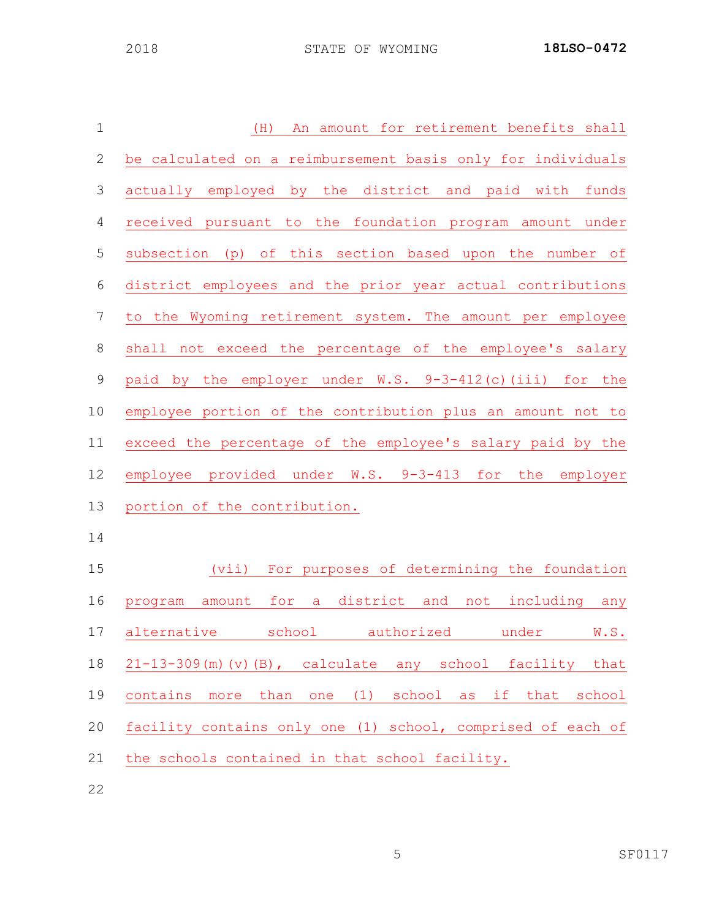| $\mathbf 1$      | An amount for retirement benefits shall<br>(H)              |
|------------------|-------------------------------------------------------------|
| $\mathbf{2}$     | be calculated on a reimbursement basis only for individuals |
| 3                | actually employed by the district and paid with funds       |
| $\overline{4}$   | received pursuant to the foundation program amount under    |
| 5                | subsection (p) of this section based upon the number of     |
| $\sqrt{6}$       | district employees and the prior year actual contributions  |
| $\boldsymbol{7}$ | to the Wyoming retirement system. The amount per employee   |
| $\,8\,$          | shall not exceed the percentage of the employee's salary    |
| $\mathcal{G}$    | paid by the employer under W.S. 9-3-412(c)(iii) for the     |
| 10               | employee portion of the contribution plus an amount not to  |
| 11               | exceed the percentage of the employee's salary paid by the  |
| 12               | employee provided under W.S. 9-3-413 for the employer       |
| 13               | portion of the contribution.                                |
| 14               |                                                             |
| 15               | For purposes of determining the foundation<br>(vii)         |
| 16               | program amount for a district and not including any         |

 program amount for a district and not including any 17 alternative school authorized under W.S. 21-13-309(m)(v)(B), calculate any school facility that contains more than one (1) school as if that school facility contains only one (1) school, comprised of each of the schools contained in that school facility.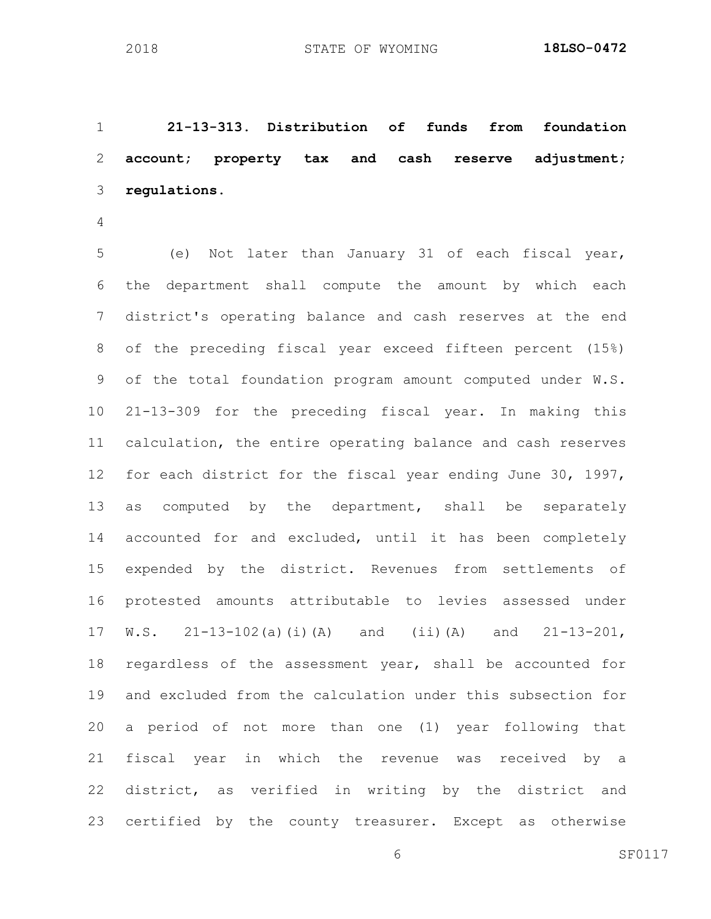**21-13-313. Distribution of funds from foundation account; property tax and cash reserve adjustment; regulations.**

 (e) Not later than January 31 of each fiscal year, the department shall compute the amount by which each district's operating balance and cash reserves at the end of the preceding fiscal year exceed fifteen percent (15%) of the total foundation program amount computed under W.S. 21-13-309 for the preceding fiscal year. In making this calculation, the entire operating balance and cash reserves 12 for each district for the fiscal year ending June 30, 1997, as computed by the department, shall be separately accounted for and excluded, until it has been completely expended by the district. Revenues from settlements of protested amounts attributable to levies assessed under W.S. 21-13-102(a)(i)(A) and (ii)(A) and 21-13-201, regardless of the assessment year, shall be accounted for and excluded from the calculation under this subsection for a period of not more than one (1) year following that fiscal year in which the revenue was received by a district, as verified in writing by the district and certified by the county treasurer. Except as otherwise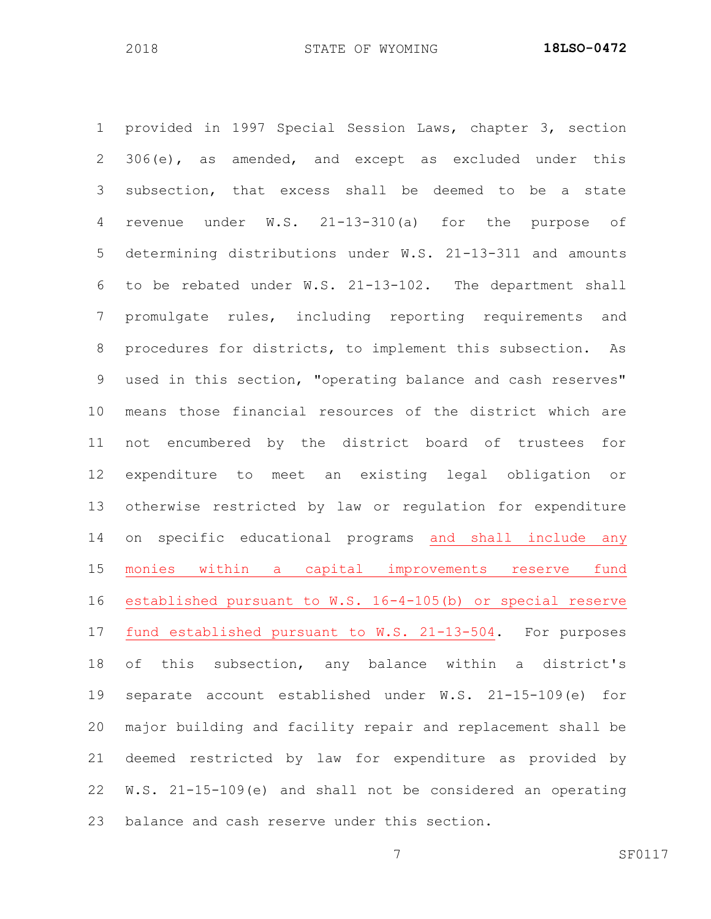provided in 1997 Special Session Laws, chapter 3, section 306(e), as amended, and except as excluded under this subsection, that excess shall be deemed to be a state revenue under W.S. 21-13-310(a) for the purpose of determining distributions under W.S. 21-13-311 and amounts to be rebated under W.S. 21-13-102. The department shall promulgate rules, including reporting requirements and procedures for districts, to implement this subsection. As used in this section, "operating balance and cash reserves" means those financial resources of the district which are not encumbered by the district board of trustees for expenditure to meet an existing legal obligation or otherwise restricted by law or regulation for expenditure on specific educational programs and shall include any monies within a capital improvements reserve fund established pursuant to W.S. 16-4-105(b) or special reserve fund established pursuant to W.S. 21-13-504. For purposes of this subsection, any balance within a district's separate account established under W.S. 21-15-109(e) for major building and facility repair and replacement shall be deemed restricted by law for expenditure as provided by W.S. 21-15-109(e) and shall not be considered an operating balance and cash reserve under this section.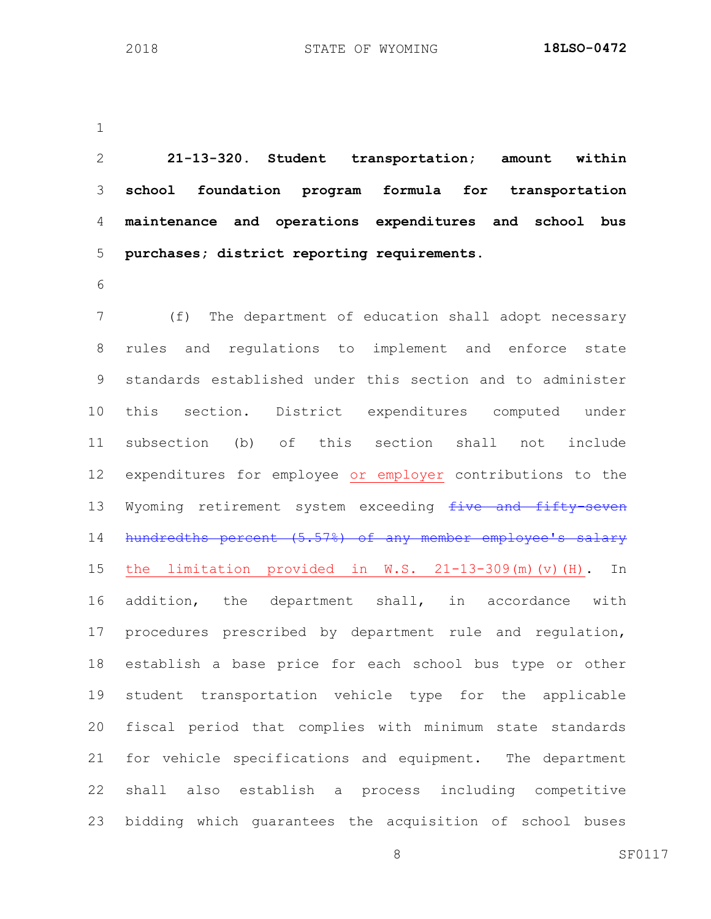**21-13-320. Student transportation; amount within school foundation program formula for transportation maintenance and operations expenditures and school bus purchases; district reporting requirements.** (f) The department of education shall adopt necessary rules and regulations to implement and enforce state standards established under this section and to administer this section. District expenditures computed under subsection (b) of this section shall not include expenditures for employee or employer contributions to the 13 Wyoming retirement system exceeding five and fifty-seven hundredths percent (5.57%) of any member employee's salary the limitation provided in W.S. 21-13-309(m)(v)(H). In addition, the department shall, in accordance with procedures prescribed by department rule and regulation, establish a base price for each school bus type or other student transportation vehicle type for the applicable fiscal period that complies with minimum state standards for vehicle specifications and equipment. The department shall also establish a process including competitive bidding which guarantees the acquisition of school buses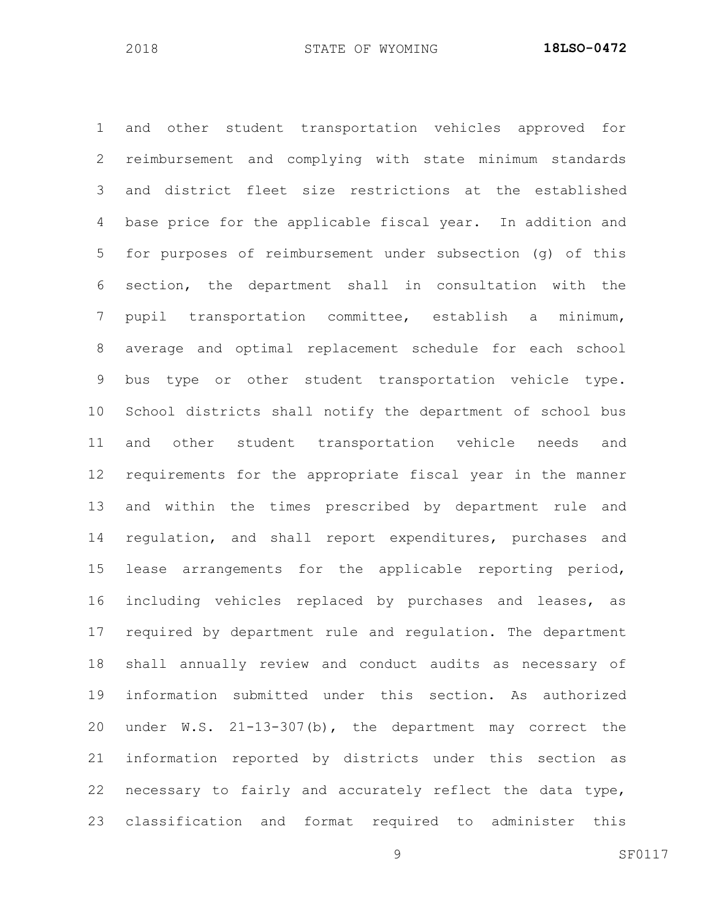and other student transportation vehicles approved for reimbursement and complying with state minimum standards and district fleet size restrictions at the established base price for the applicable fiscal year. In addition and for purposes of reimbursement under subsection (g) of this section, the department shall in consultation with the pupil transportation committee, establish a minimum, average and optimal replacement schedule for each school bus type or other student transportation vehicle type. School districts shall notify the department of school bus and other student transportation vehicle needs and requirements for the appropriate fiscal year in the manner and within the times prescribed by department rule and regulation, and shall report expenditures, purchases and lease arrangements for the applicable reporting period, including vehicles replaced by purchases and leases, as required by department rule and regulation. The department shall annually review and conduct audits as necessary of information submitted under this section. As authorized under W.S. 21-13-307(b), the department may correct the information reported by districts under this section as necessary to fairly and accurately reflect the data type, classification and format required to administer this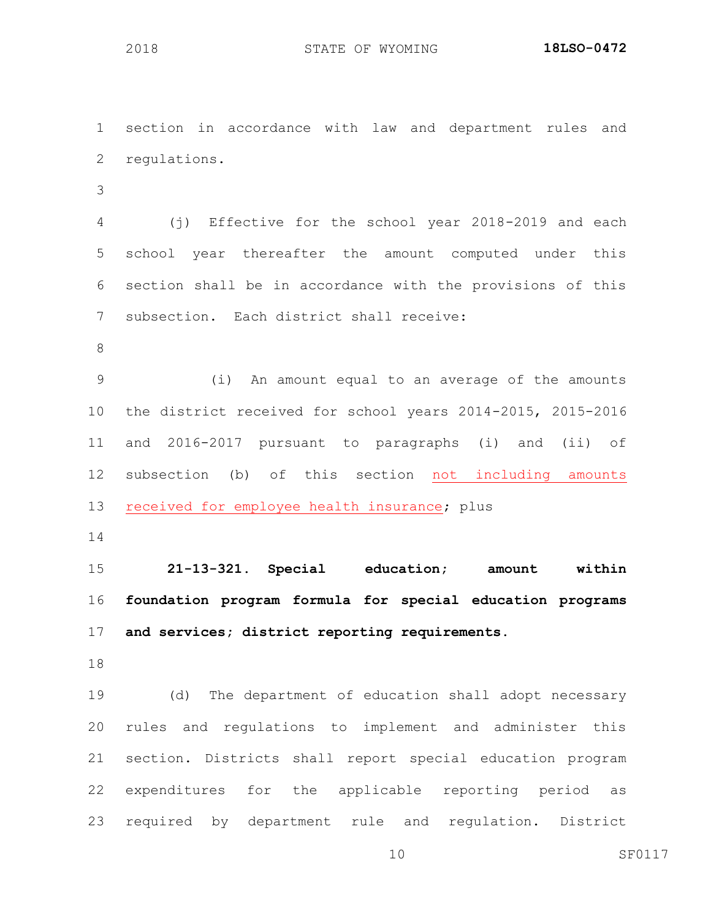section in accordance with law and department rules and regulations. (j) Effective for the school year 2018-2019 and each school year thereafter the amount computed under this section shall be in accordance with the provisions of this subsection. Each district shall receive: (i) An amount equal to an average of the amounts the district received for school years 2014-2015, 2015-2016 and 2016-2017 pursuant to paragraphs (i) and (ii) of subsection (b) of this section not including amounts received for employee health insurance; plus 

 **21-13-321. Special education; amount within foundation program formula for special education programs and services; district reporting requirements.**

 (d) The department of education shall adopt necessary rules and regulations to implement and administer this section. Districts shall report special education program expenditures for the applicable reporting period as required by department rule and regulation. District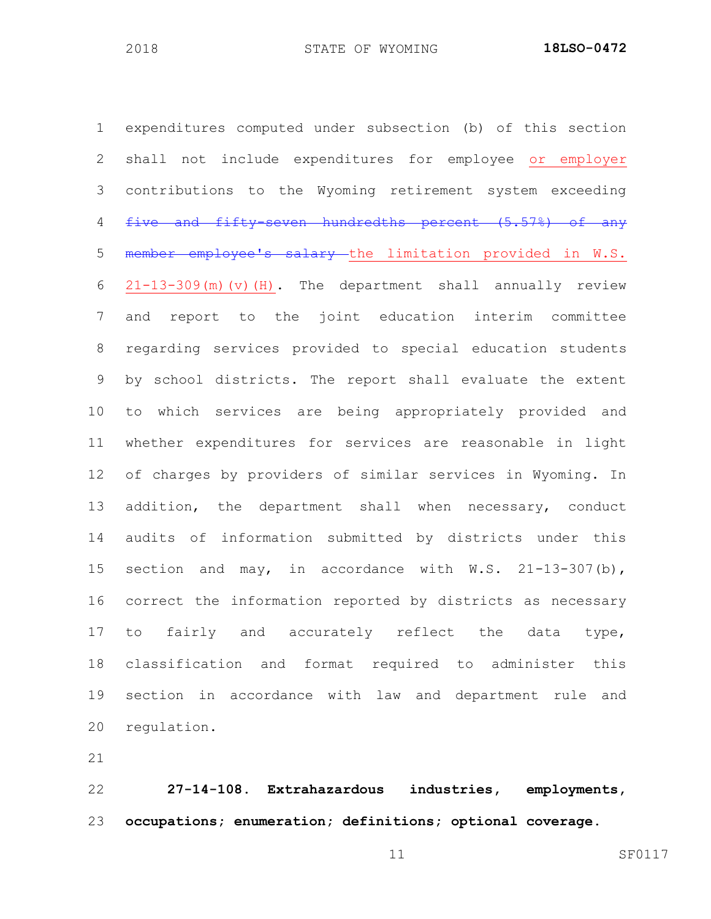expenditures computed under subsection (b) of this section shall not include expenditures for employee or employer contributions to the Wyoming retirement system exceeding 4 five and fifty-seven hundredths percent (5.57%) of any 5 member employee's salary the limitation provided in W.S. 21-13-309(m)(v)(H). The department shall annually review and report to the joint education interim committee regarding services provided to special education students by school districts. The report shall evaluate the extent to which services are being appropriately provided and whether expenditures for services are reasonable in light of charges by providers of similar services in Wyoming. In 13 addition, the department shall when necessary, conduct audits of information submitted by districts under this section and may, in accordance with W.S. 21-13-307(b), correct the information reported by districts as necessary 17 to fairly and accurately reflect the data type, classification and format required to administer this section in accordance with law and department rule and regulation.

 **27-14-108. Extrahazardous industries, employments, occupations; enumeration; definitions; optional coverage.**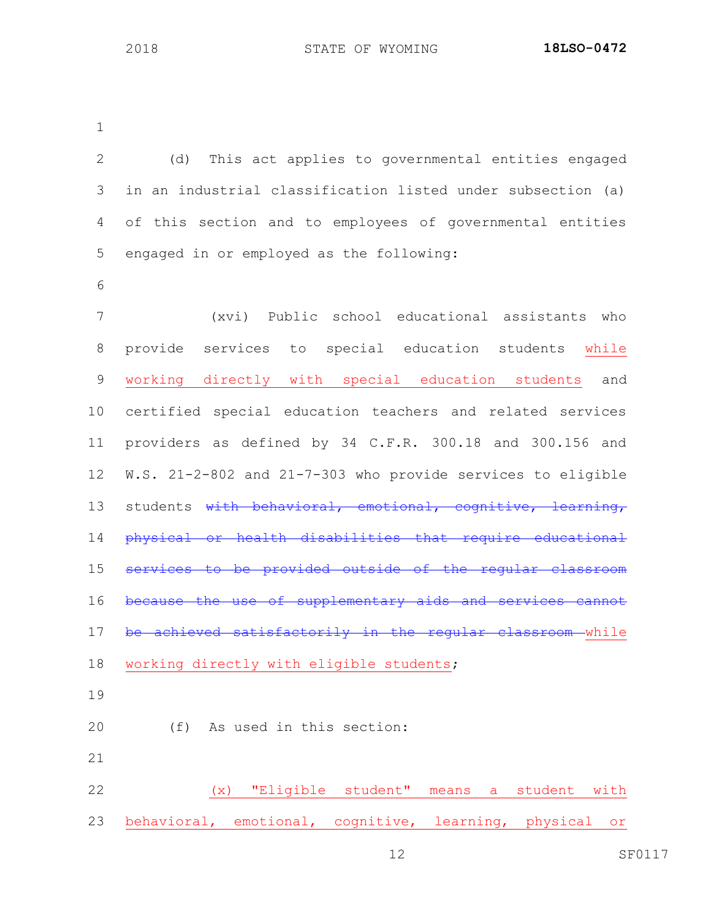(d) This act applies to governmental entities engaged in an industrial classification listed under subsection (a) of this section and to employees of governmental entities engaged in or employed as the following: (xvi) Public school educational assistants who provide services to special education students while working directly with special education students and certified special education teachers and related services providers as defined by 34 C.F.R. 300.18 and 300.156 and W.S. 21-2-802 and 21-7-303 who provide services to eligible 13 students with behavioral, emotional, cognitive, learning, physical or health disabilities that require educational services to be provided outside of the regular classroom because the use of supplementary aids and services cannot 17 be achieved satisfactorily in the regular classroom while 18 working directly with eligible students; (f) As used in this section: (x) "Eligible student" means a student with behavioral, emotional, cognitive, learning, physical or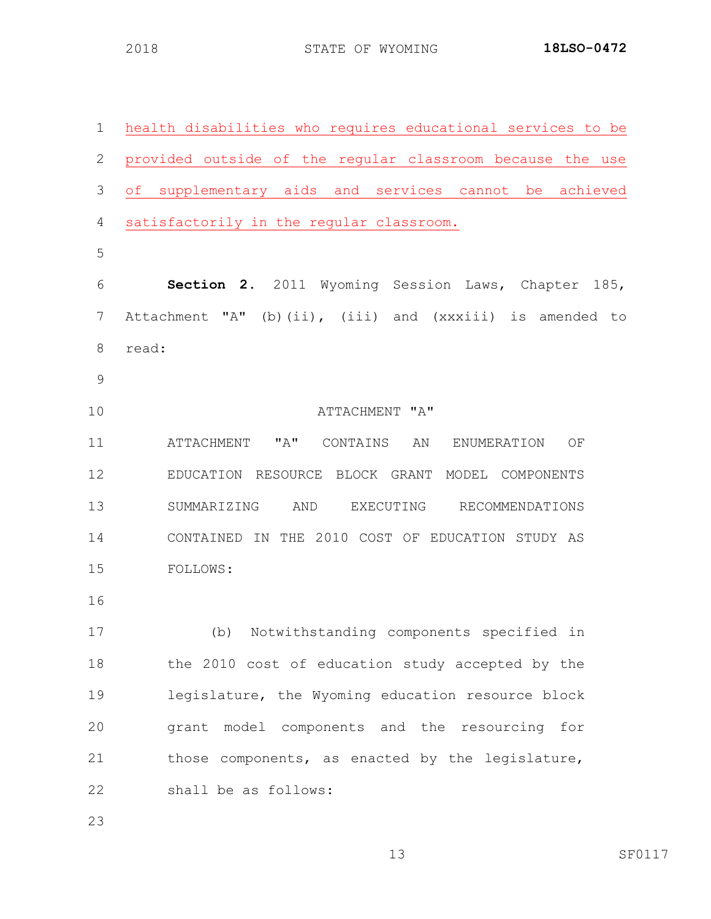| 1  | health disabilities who requires educational services to be        |
|----|--------------------------------------------------------------------|
| 2  | provided outside of the regular classroom because the use          |
| 3  | supplementary aids and services cannot be<br>$\circ$ f<br>achieved |
| 4  | satisfactorily in the regular classroom.                           |
| 5  |                                                                    |
| 6  | Section 2. 2011 Wyoming Session Laws, Chapter 185,                 |
| 7  | Attachment "A" (b)(ii), (iii) and (xxxiii) is amended to           |
| 8  | read:                                                              |
| 9  |                                                                    |
| 10 | ATTACHMENT "A"                                                     |
| 11 | ATTACHMENT "A"<br>CONTAINS<br>AN<br>ENUMERATION<br>ΟF              |
| 12 | EDUCATION RESOURCE BLOCK GRANT MODEL COMPONENTS                    |
| 13 | SUMMARIZING<br>AND<br>EXECUTING<br>RECOMMENDATIONS                 |
| 14 | THE 2010 COST OF EDUCATION STUDY AS<br>CONTAINED IN                |
| 15 | FOLLOWS:                                                           |
| 16 |                                                                    |
| 17 | Notwithstanding components specified in<br>(b)                     |
| 18 | the 2010 cost of education study accepted by the                   |
| 19 | legislature, the Wyoming education resource block                  |
| 20 | grant model components and the resourcing for                      |
| 21 | those components, as enacted by the legislature,                   |
| 22 | shall be as follows:                                               |
| 23 |                                                                    |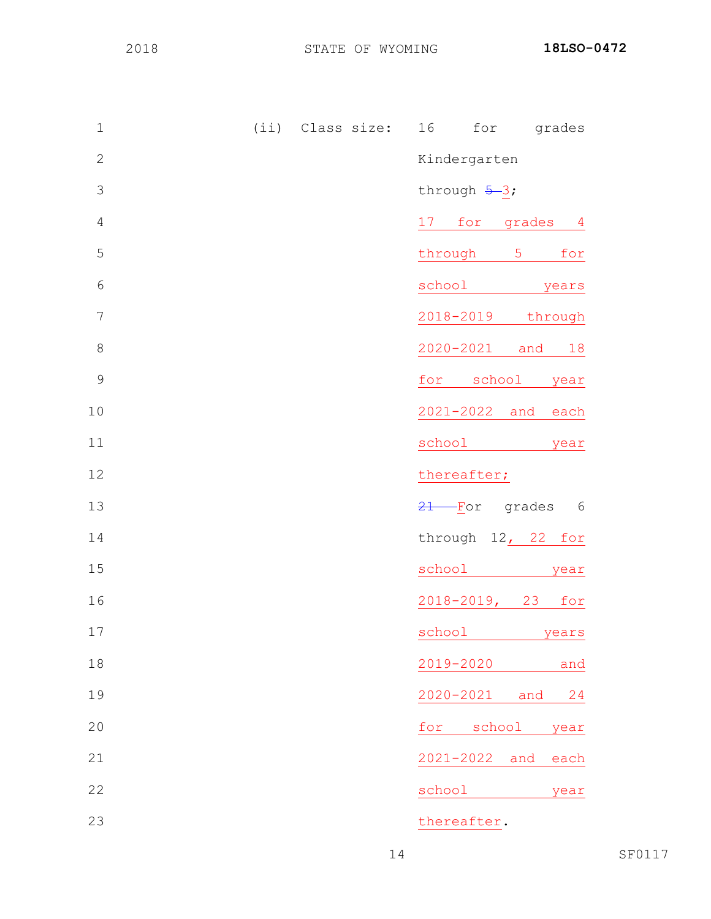| $1\,$          | (ii) Class size: | for<br>16<br>grades                                                                                                                                                                                                                      |
|----------------|------------------|------------------------------------------------------------------------------------------------------------------------------------------------------------------------------------------------------------------------------------------|
| $\mathbf 2$    |                  | Kindergarten                                                                                                                                                                                                                             |
| $\mathcal{S}$  |                  | through $5-3$ ;                                                                                                                                                                                                                          |
| $\sqrt{4}$     |                  | 17<br>for grades 4                                                                                                                                                                                                                       |
| 5              |                  | through 5<br>for                                                                                                                                                                                                                         |
| $6\,$          |                  | school<br>years                                                                                                                                                                                                                          |
| $\overline{7}$ |                  | 2018-2019<br>through                                                                                                                                                                                                                     |
| $\,8\,$        |                  | 2020-2021 and 18                                                                                                                                                                                                                         |
| $\mathcal{G}$  |                  | school<br>for<br>year                                                                                                                                                                                                                    |
| 10             |                  | 2021-2022 and<br>each                                                                                                                                                                                                                    |
| 11             |                  | school<br>year                                                                                                                                                                                                                           |
| 12             |                  | thereafter;                                                                                                                                                                                                                              |
| 13             |                  | $21$ For<br>grades<br>6                                                                                                                                                                                                                  |
| 14             |                  | through 12, 22 for                                                                                                                                                                                                                       |
| 15             |                  | school<br>year                                                                                                                                                                                                                           |
| 16             |                  | $2018 - 2019$ , 23<br>for                                                                                                                                                                                                                |
| 17             |                  | school and the set of the set of the set of the set of the set of the set of the set of the set of the set of the set of the set of the set of the set of the set of the set of the set of the set of the set of the set of the<br>vears |
| 18             |                  | 2019-2020<br>and                                                                                                                                                                                                                         |
| 19             |                  | $2020 - 2021$<br>and<br>24                                                                                                                                                                                                               |
| 20             |                  | school<br>for<br>year                                                                                                                                                                                                                    |
| 21             |                  | 2021-2022 and<br>each                                                                                                                                                                                                                    |
| 22             |                  | school<br>year                                                                                                                                                                                                                           |
| 23             |                  | thereafter.                                                                                                                                                                                                                              |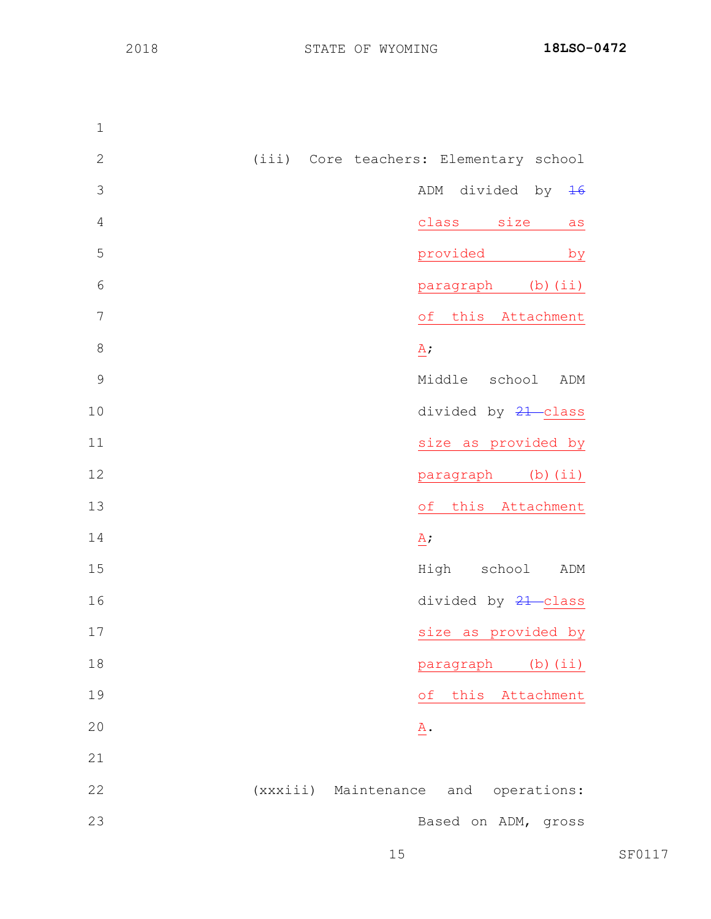(iii) Core teachers: Elementary school ADM divided by 16 class size as provided by paragraph (b)(ii) of this Attachment A; Middle school ADM 10 divided by  $\frac{21}{10}$  class 11 size as provided by **paragraph** (b)(ii) of this Attachment A; High school ADM 16 divided by  $\frac{21}{16}$  class 17 size as provided by **paragraph** (b)(ii) of this Attachment A. (xxxiii) Maintenance and operations: Based on ADM, gross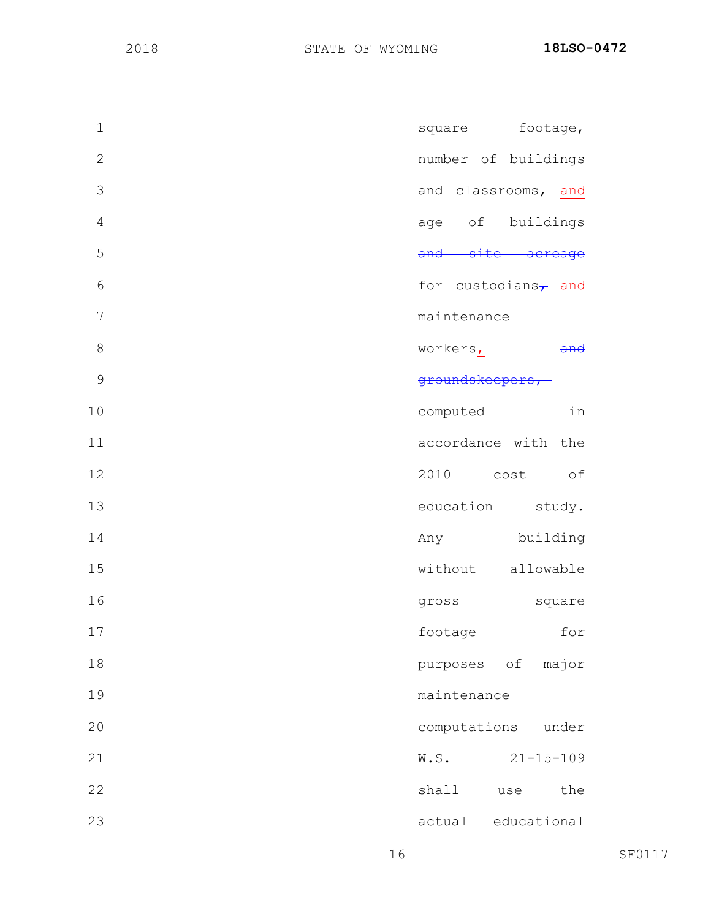| $\mathbf 1$    | square footage,           |
|----------------|---------------------------|
| $\mathbf{2}$   | number of buildings       |
| 3              | and classrooms, and       |
| $\overline{4}$ | age of buildings          |
| 5              | and site acreage          |
| 6              | for custodians $\tau$ and |
| 7              | maintenance               |
| 8              | workers,                  |
| 9              | groundskeepers,           |
| 10             | in<br>computed            |
| 11             | accordance with the       |
| 12             | 2010 cost of              |
| 13             | education study.          |
| 14             | building<br>Any           |
| 15             | without allowable         |
| 16             | gross<br>square           |
| 17             | footage<br>for            |
| 18             | purposes of major         |
| 19             | maintenance               |
| 20             | computations<br>under     |
| 21             | W.S.<br>$21 - 15 - 109$   |
| 22             | shall<br>the<br>use       |
| 23             | educational<br>actual     |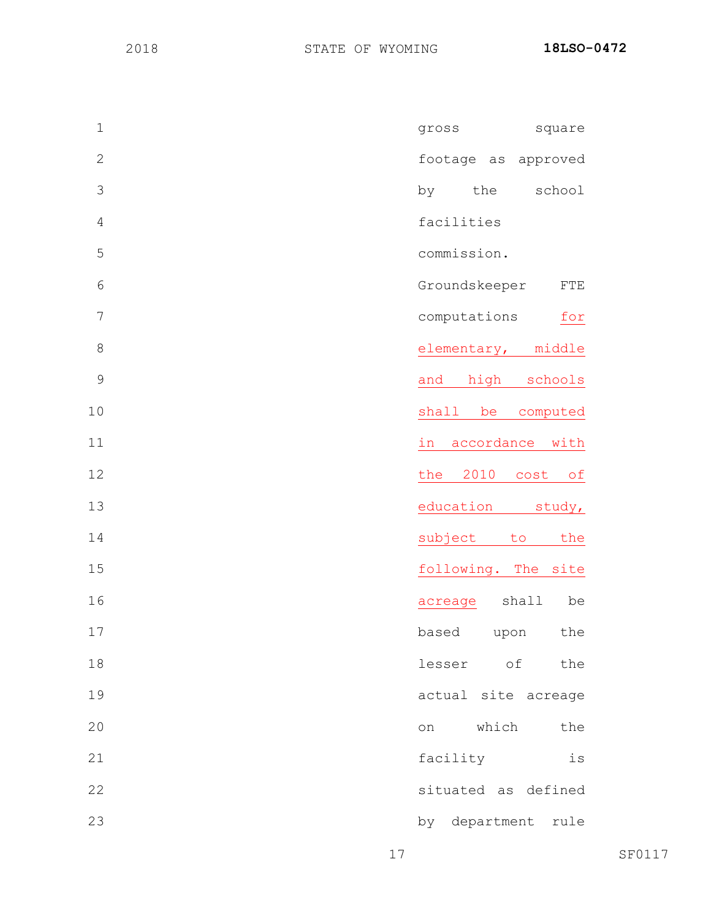| $\mathbf{1}$  | gross<br>square              |
|---------------|------------------------------|
| $\mathbf{2}$  | footage as approved          |
| 3             | the<br>school<br>by          |
| $\sqrt{4}$    | facilities                   |
| 5             | commission.                  |
| $\epsilon$    | Groundskeeper<br>${\rm FTE}$ |
| 7             | computations<br>for          |
| 8             | elementary, middle           |
| $\mathcal{G}$ | high<br>schools<br>and       |
| 10            | shall be<br>computed         |
| 11            | accordance with<br>in        |
| 12            | the 2010 cost of             |
| 13            | education<br>study,          |
| 14            | subject<br>the<br>to         |
| 15            | following. The site          |
| 16            | shall<br>be<br>acreage       |
| 17            | based<br>the<br>upon         |
| 18            | lesser of<br>the             |
| 19            | actual site acreage          |
| 20            | which<br>the<br>on           |
| 21            | facility<br>is               |
| 22            | situated as defined          |
| 23            | by department rule           |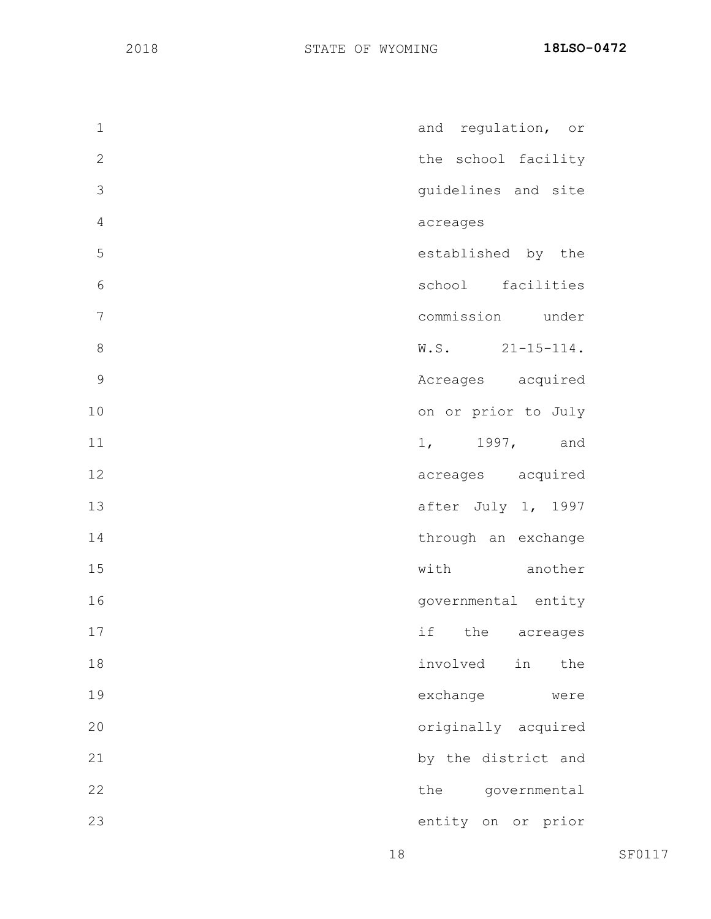| $\mathbf 1$    | and regulation, or    |
|----------------|-----------------------|
| $\overline{2}$ | the school facility   |
| 3              | guidelines and site   |
| $\sqrt{4}$     | acreages              |
| 5              | established by the    |
| $\epsilon$     | school facilities     |
| $\overline{7}$ | commission under      |
| 8              | $W.S.$ 21-15-114.     |
| 9              | Acreages acquired     |
| 10             | on or prior to July   |
| 11             | 1, 1997, and          |
| 12             | acreages acquired     |
| 13             | after July 1, 1997    |
| 14             | through an exchange   |
| 15             | with another          |
| 16             | governmental entity   |
| 17             | if<br>the<br>acreages |
| 18             | involved<br>in<br>the |
| 19             | exchange<br>were      |
| 20             | originally acquired   |
| 21             | by the district and   |
| 22             | the<br>governmental   |
| 23             | entity on<br>or prior |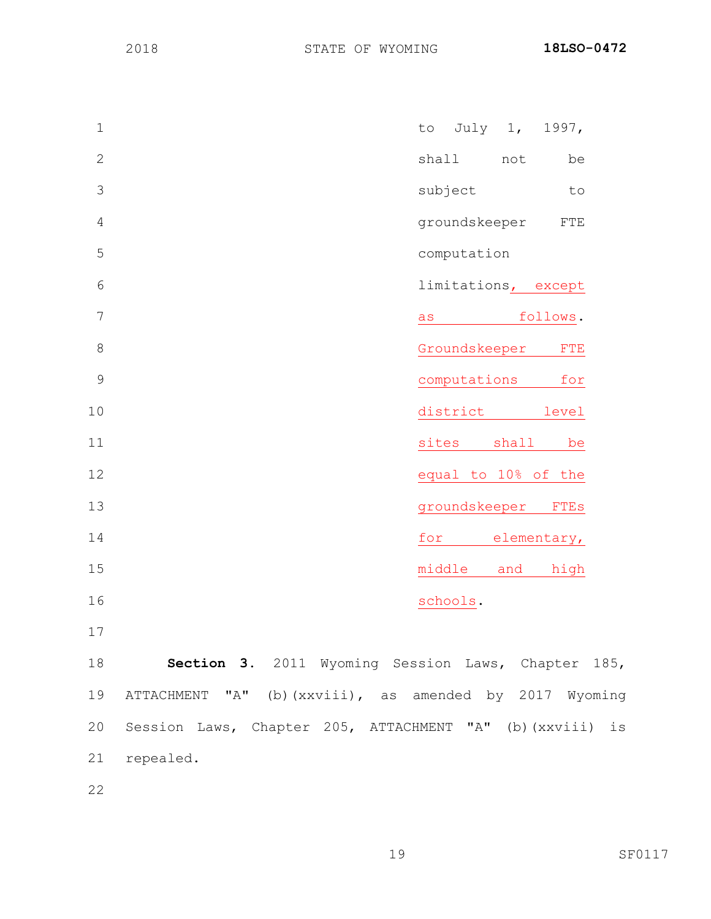| $\mathbf 1$    | July 1,<br>1997,<br>to       |
|----------------|------------------------------|
| $\mathbf{2}$   | shall<br>not<br>be           |
| 3              | subject<br>to                |
| $\overline{4}$ | groundskeeper<br>${\rm FTE}$ |
| 5              | computation                  |
| 6              | limitations, except          |
| 7              | follows.<br>as               |
| 8              | Groundskeeper<br>${\rm FTE}$ |
| $\mathcal{G}$  | computations<br>for          |
| 10             | district<br>level            |
| 11             | sites<br>shall<br>be         |
| 12             | equal to 10% of the          |
| 13             | groundskeeper FTEs           |
| 14             | elementary,<br>for           |
| 15             | high<br>middle<br>and        |
| 16             | schools.                     |

 **Section 3.** 2011 Wyoming Session Laws, Chapter 185, ATTACHMENT "A" (b)(xxviii), as amended by 2017 Wyoming Session Laws, Chapter 205, ATTACHMENT "A" (b)(xxviii) is repealed.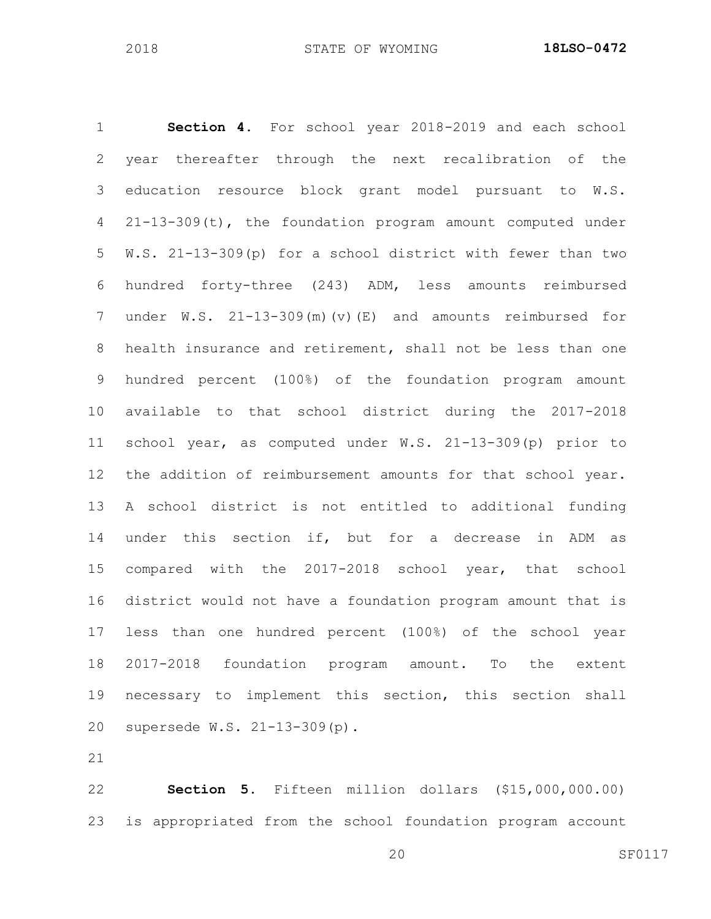**Section 4.** For school year 2018-2019 and each school year thereafter through the next recalibration of the education resource block grant model pursuant to W.S. 21-13-309(t), the foundation program amount computed under W.S. 21-13-309(p) for a school district with fewer than two hundred forty-three (243) ADM, less amounts reimbursed under W.S. 21-13-309(m)(v)(E) and amounts reimbursed for health insurance and retirement, shall not be less than one hundred percent (100%) of the foundation program amount available to that school district during the 2017-2018 school year, as computed under W.S. 21-13-309(p) prior to the addition of reimbursement amounts for that school year. A school district is not entitled to additional funding under this section if, but for a decrease in ADM as compared with the 2017-2018 school year, that school district would not have a foundation program amount that is less than one hundred percent (100%) of the school year 2017-2018 foundation program amount. To the extent necessary to implement this section, this section shall supersede W.S. 21-13-309(p).

 **Section 5**. Fifteen million dollars (\$15,000,000.00) is appropriated from the school foundation program account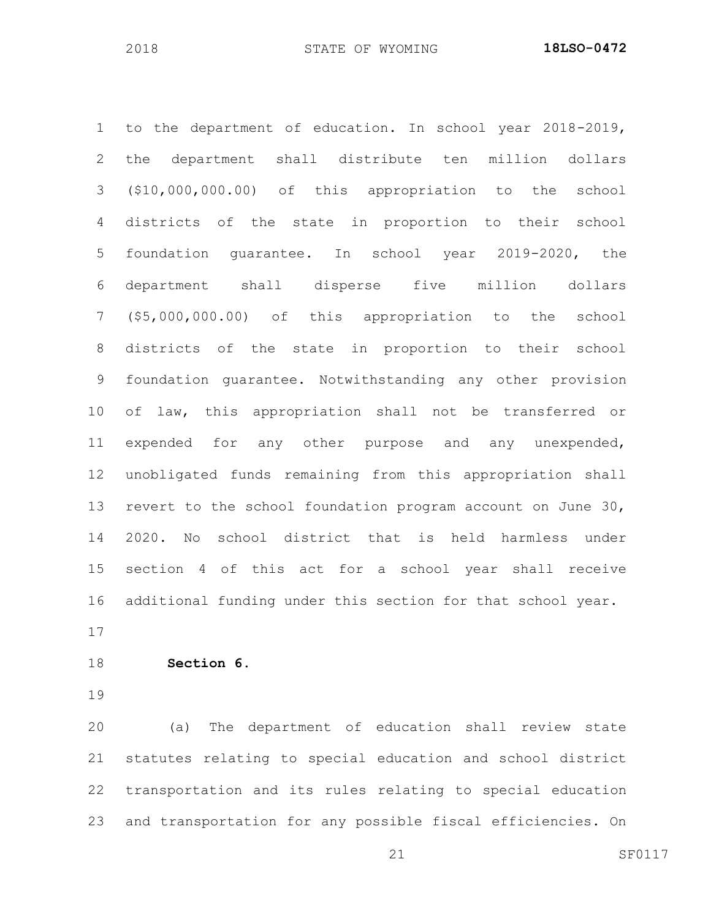to the department of education. In school year 2018-2019, the department shall distribute ten million dollars (\$10,000,000.00) of this appropriation to the school districts of the state in proportion to their school foundation guarantee. In school year 2019-2020, the department shall disperse five million dollars (\$5,000,000.00) of this appropriation to the school districts of the state in proportion to their school foundation guarantee. Notwithstanding any other provision of law, this appropriation shall not be transferred or expended for any other purpose and any unexpended, unobligated funds remaining from this appropriation shall revert to the school foundation program account on June 30, 2020. No school district that is held harmless under section 4 of this act for a school year shall receive additional funding under this section for that school year. 

**Section 6.** 

 (a) The department of education shall review state statutes relating to special education and school district transportation and its rules relating to special education and transportation for any possible fiscal efficiencies. On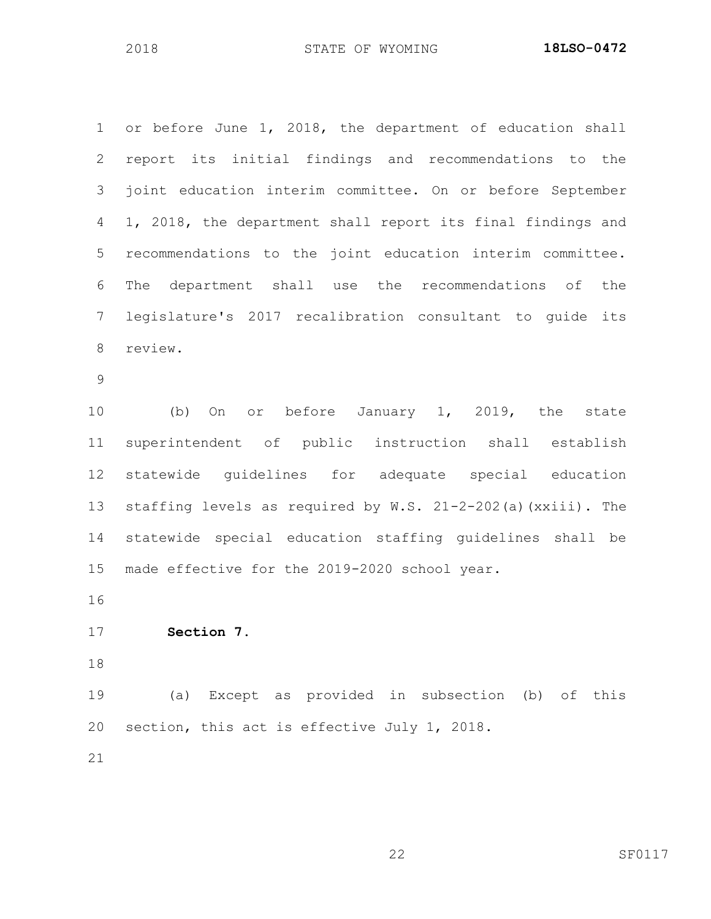or before June 1, 2018, the department of education shall report its initial findings and recommendations to the joint education interim committee. On or before September 1, 2018, the department shall report its final findings and recommendations to the joint education interim committee. The department shall use the recommendations of the legislature's 2017 recalibration consultant to guide its review. (b) On or before January 1, 2019, the state superintendent of public instruction shall establish statewide guidelines for adequate special education staffing levels as required by W.S. 21-2-202(a)(xxiii). The statewide special education staffing guidelines shall be made effective for the 2019-2020 school year.

**Section 7.**

 (a) Except as provided in subsection (b) of this section, this act is effective July 1, 2018.